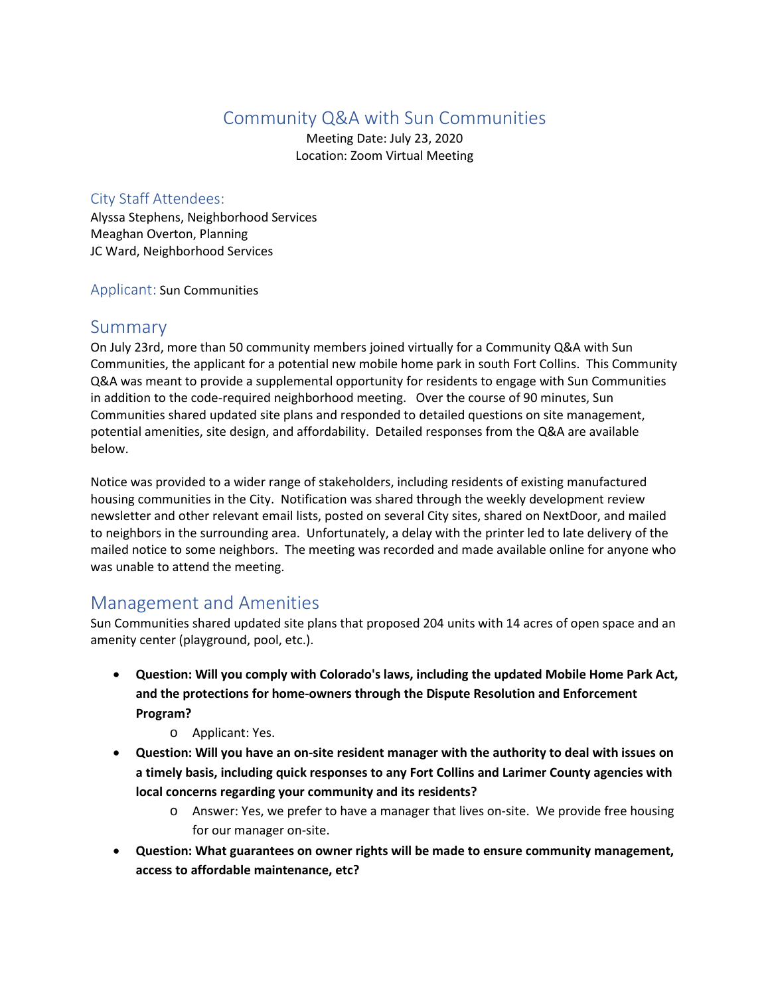# Community Q&A with Sun Communities

Meeting Date: July 23, 2020 Location: Zoom Virtual Meeting

#### City Staff Attendees:

Alyssa Stephens, Neighborhood Services Meaghan Overton, Planning JC Ward, Neighborhood Services

Applicant: Sun Communities

### Summary

On July 23rd, more than 50 community members joined virtually for a Community Q&A with Sun Communities, the applicant for a potential new mobile home park in south Fort Collins. This Community Q&A was meant to provide a supplemental opportunity for residents to engage with Sun Communities in addition to the code-required neighborhood meeting. Over the course of 90 minutes, Sun Communities shared updated site plans and responded to detailed questions on site management, potential amenities, site design, and affordability. Detailed responses from the Q&A are available below.

Notice was provided to a wider range of stakeholders, including residents of existing manufactured housing communities in the City. Notification was shared through the weekly development review newsletter and other relevant email lists, posted on several City sites, shared on NextDoor, and mailed to neighbors in the surrounding area. Unfortunately, a delay with the printer led to late delivery of the mailed notice to some neighbors. The meeting was recorded and made available online for anyone who was unable to attend the meeting.

## Management and Amenities

Sun Communities shared updated site plans that proposed 204 units with 14 acres of open space and an amenity center (playground, pool, etc.).

- **Question: Will you comply with Colorado's laws, including the updated Mobile Home Park Act, and the protections for home-owners through the Dispute Resolution and Enforcement Program?**
	- o Applicant: Yes.
- **Question: Will you have an on-site resident manager with the authority to deal with issues on a timely basis, including quick responses to any Fort Collins and Larimer County agencies with local concerns regarding your community and its residents?**
	- o Answer: Yes, we prefer to have a manager that lives on-site. We provide free housing for our manager on-site.
- **Question: What guarantees on owner rights will be made to ensure community management, access to affordable maintenance, etc?**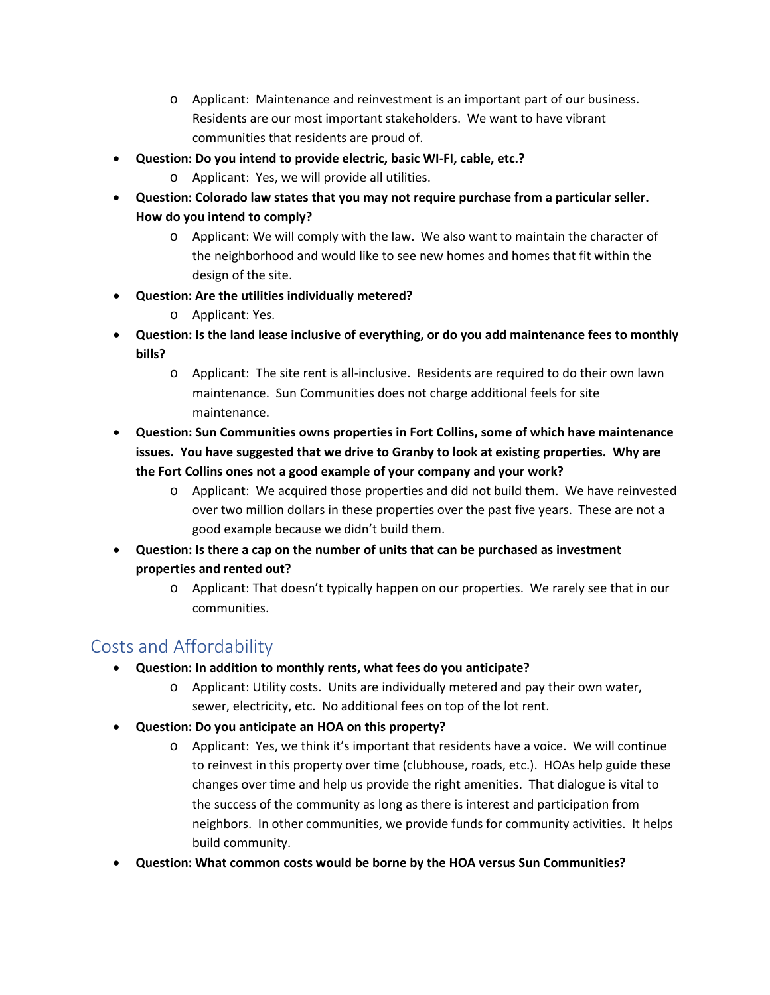- o Applicant: Maintenance and reinvestment is an important part of our business. Residents are our most important stakeholders. We want to have vibrant communities that residents are proud of.
- **Question: Do you intend to provide electric, basic WI-FI, cable, etc.?** 
	- o Applicant: Yes, we will provide all utilities.
- **Question: Colorado law states that you may not require purchase from a particular seller. How do you intend to comply?** 
	- o Applicant: We will comply with the law. We also want to maintain the character of the neighborhood and would like to see new homes and homes that fit within the design of the site.
- **Question: Are the utilities individually metered?**
	- o Applicant: Yes.
- **Question: Is the land lease inclusive of everything, or do you add maintenance fees to monthly bills?**
	- o Applicant: The site rent is all-inclusive. Residents are required to do their own lawn maintenance. Sun Communities does not charge additional feels for site maintenance.
- **Question: Sun Communities owns properties in Fort Collins, some of which have maintenance issues. You have suggested that we drive to Granby to look at existing properties. Why are the Fort Collins ones not a good example of your company and your work?** 
	- o Applicant: We acquired those properties and did not build them. We have reinvested over two million dollars in these properties over the past five years. These are not a good example because we didn't build them.
- **Question: Is there a cap on the number of units that can be purchased as investment properties and rented out?**
	- o Applicant: That doesn't typically happen on our properties. We rarely see that in our communities.

## Costs and Affordability

- **Question: In addition to monthly rents, what fees do you anticipate?**
	- o Applicant: Utility costs. Units are individually metered and pay their own water, sewer, electricity, etc. No additional fees on top of the lot rent.
- **Question: Do you anticipate an HOA on this property?**
	- o Applicant: Yes, we think it's important that residents have a voice. We will continue to reinvest in this property over time (clubhouse, roads, etc.). HOAs help guide these changes over time and help us provide the right amenities. That dialogue is vital to the success of the community as long as there is interest and participation from neighbors. In other communities, we provide funds for community activities. It helps build community.
- **Question: What common costs would be borne by the HOA versus Sun Communities?**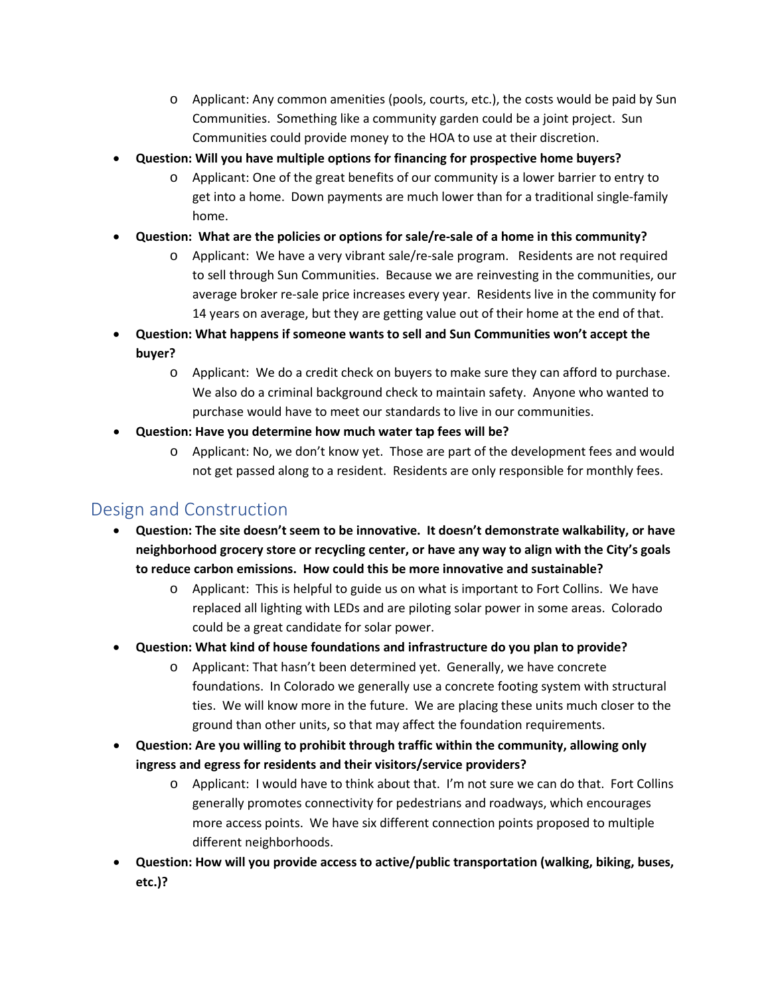- o Applicant: Any common amenities (pools, courts, etc.), the costs would be paid by Sun Communities. Something like a community garden could be a joint project. Sun Communities could provide money to the HOA to use at their discretion.
- **Question: Will you have multiple options for financing for prospective home buyers?**
	- o Applicant: One of the great benefits of our community is a lower barrier to entry to get into a home. Down payments are much lower than for a traditional single-family home.
- **Question: What are the policies or options for sale/re-sale of a home in this community?**
	- o Applicant: We have a very vibrant sale/re-sale program. Residents are not required to sell through Sun Communities. Because we are reinvesting in the communities, our average broker re-sale price increases every year. Residents live in the community for 14 years on average, but they are getting value out of their home at the end of that.
- **Question: What happens if someone wants to sell and Sun Communities won't accept the buyer?**
	- o Applicant: We do a credit check on buyers to make sure they can afford to purchase. We also do a criminal background check to maintain safety. Anyone who wanted to purchase would have to meet our standards to live in our communities.
- **Question: Have you determine how much water tap fees will be?**
	- o Applicant: No, we don't know yet. Those are part of the development fees and would not get passed along to a resident. Residents are only responsible for monthly fees.

# Design and Construction

- **Question: The site doesn't seem to be innovative. It doesn't demonstrate walkability, or have neighborhood grocery store or recycling center, or have any way to align with the City's goals to reduce carbon emissions. How could this be more innovative and sustainable?**
	- o Applicant: This is helpful to guide us on what is important to Fort Collins. We have replaced all lighting with LEDs and are piloting solar power in some areas. Colorado could be a great candidate for solar power.
- **Question: What kind of house foundations and infrastructure do you plan to provide?**
	- o Applicant: That hasn't been determined yet. Generally, we have concrete foundations. In Colorado we generally use a concrete footing system with structural ties. We will know more in the future. We are placing these units much closer to the ground than other units, so that may affect the foundation requirements.
- **Question: Are you willing to prohibit through traffic within the community, allowing only ingress and egress for residents and their visitors/service providers?** 
	- o Applicant: I would have to think about that. I'm not sure we can do that. Fort Collins generally promotes connectivity for pedestrians and roadways, which encourages more access points. We have six different connection points proposed to multiple different neighborhoods.
- **Question: How will you provide access to active/public transportation (walking, biking, buses, etc.)?**